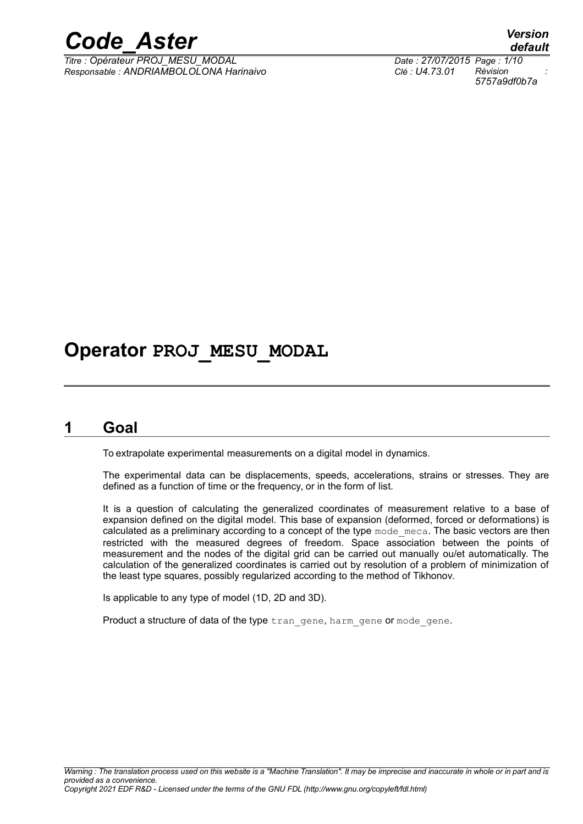

*Titre : Opérateur PROJ\_MESU\_MODAL Date : 27/07/2015 Page : 1/10 Responsable : ANDRIAMBOLOLONA Harinaivo Clé : U4.73.01 Révision :*

*default 5757a9df0b7a*

## **Operator PROJ\_MESU\_MODAL**

## **1 Goal**

To extrapolate experimental measurements on a digital model in dynamics.

The experimental data can be displacements, speeds, accelerations, strains or stresses. They are defined as a function of time or the frequency, or in the form of list.

It is a question of calculating the generalized coordinates of measurement relative to a base of expansion defined on the digital model. This base of expansion (deformed, forced or deformations) is calculated as a preliminary according to a concept of the type mode meca. The basic vectors are then restricted with the measured degrees of freedom. Space association between the points of measurement and the nodes of the digital grid can be carried out manually ou/et automatically. The calculation of the generalized coordinates is carried out by resolution of a problem of minimization of the least type squares, possibly regularized according to the method of Tikhonov.

Is applicable to any type of model (1D, 2D and 3D).

Product a structure of data of the type tran gene, harm gene or mode gene.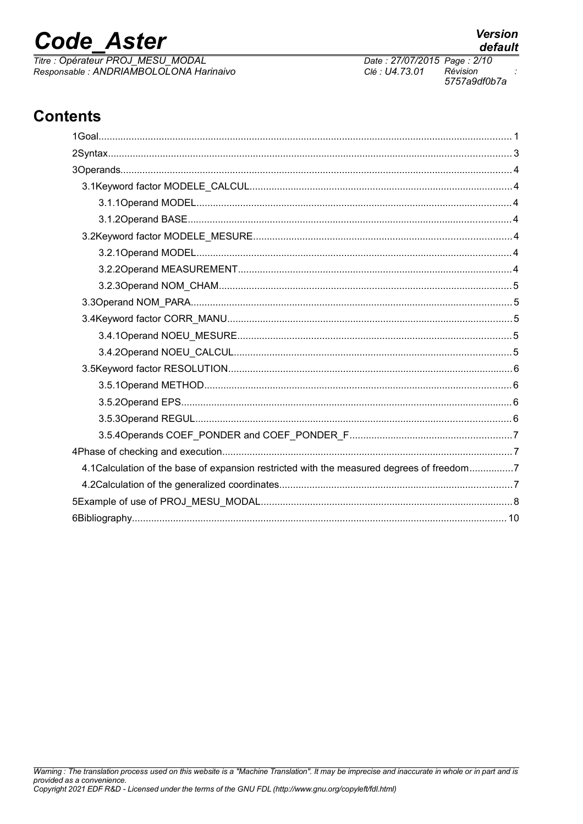## **Code Aster**

Titre : Opérateur PROJ\_MESU\_MODAL Responsable : ANDRIAMBOLOLONA Harinaivo Date: 27/07/2015 Page: 2/10 Clé : U4.73.01 Révision 5757a9df0b7a

**Version** 

default

## **Contents**

| 4.1 Calculation of the base of expansion restricted with the measured degrees of freedom7 |
|-------------------------------------------------------------------------------------------|
|                                                                                           |
|                                                                                           |
|                                                                                           |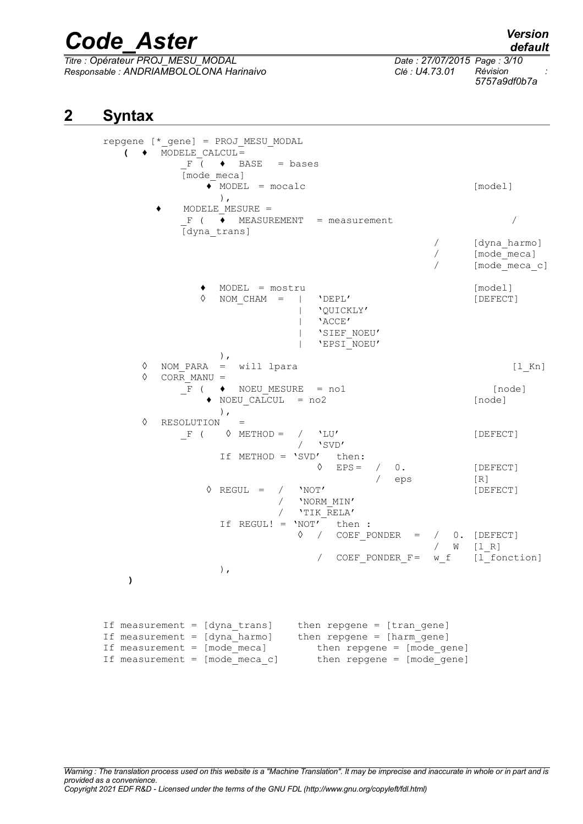*Titre : Opérateur PROJ\_MESU\_MODAL Date : 27/07/2015 Page : 3/10 Responsable : ANDRIAMBOLOLONA Harinaivo Clé : U4.73.01 Révision :*

*5757a9df0b7a*

## **2 Syntax**

repgene [\*\_gene] = PROJ\_MESU\_MODAL **( ♦** MODELE\_CALCUL=  $F$  (  $\rightarrow$  BASE = bases [mode\_meca]  $\bullet$  MODEL = mocalc  $[model]$ ), **♦** MODELE\_MESURE =  $F$  (  $\overline{\bullet}$  MEASUREMENT = measurement / [dyna\_trans] / [dyna\_harmo] / [mode\_meca] [mode\_meca\_c] **♦** MODEL = mostru [model] NOM CHAM = | 'DEPL' [DEFECT] | 'QUICKLY' | 'ACCE' | 'SIEF\_NOEU' | 'EPSI\_NOEU' ), ◊ NOM\_PARA = will lpara [l\_Kn] ◊ CORR\_MANU =  $\overline{F}$  (  $\leftrightarrow$  NOEU\_MESURE = no1 [node]  $\bullet$  NOEU CALCUL = no2 [node] ), ◊ RESOLUTION =  $F$  (  $\Diamond$  METHOD = /  $`LU'$  [DEFECT] / 'SVD' If METHOD = 'SVD' then:  $\Diamond$  EPS =  $\land$  0. [DEFECT] / eps [R]  $\Diamond$  REGUL = / 'NOT' [DEFECT] / 'NORM\_MIN'  $/$  'TIK RELA' If REGUL! =  $'NOT'$  then :  $\Diamond$  / COEF PONDER = / 0. [DEFECT] / W [l\_R] / COEF PONDER F= w f [l fonction] ), **)** If measurement = [dyna trans] then repgene = [tran gene] If measurement = [dyna harmo] then repgene = [harm gene] If measurement = [mode meca] then repgene = [mode gene]

If measurement =  $[mode]$  meca\_c] then repgene =  $[mode]$  gene]

*default*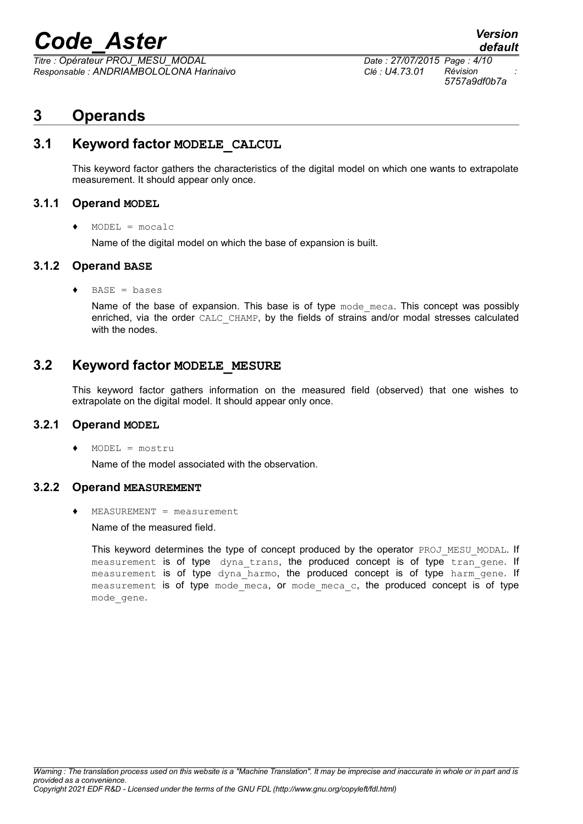*Titre : Opérateur PROJ\_MESU\_MODAL Date : 27/07/2015 Page : 4/10 Responsable : ANDRIAMBOLOLONA Harinaivo Clé : U4.73.01 Révision :*

*5757a9df0b7a*

*default*

## **3 Operands**

## **3.1 Keyword factor MODELE\_CALCUL**

This keyword factor gathers the characteristics of the digital model on which one wants to extrapolate measurement. It should appear only once.

### **3.1.1 Operand MODEL**

**♦** MODEL = mocalc

Name of the digital model on which the base of expansion is built.

### **3.1.2 Operand BASE**

**♦** BASE = bases

Name of the base of expansion. This base is of type mode meca. This concept was possibly enriched, via the order CALC\_CHAMP, by the fields of strains and/or modal stresses calculated with the nodes.

## **3.2 Keyword factor MODELE\_MESURE**

This keyword factor gathers information on the measured field (observed) that one wishes to extrapolate on the digital model. It should appear only once.

### **3.2.1 Operand MODEL**

**♦** MODEL = mostru

Name of the model associated with the observation.

#### **3.2.2 Operand MEASUREMENT**

**♦** MEASUREMENT = measurement

Name of the measured field.

This keyword determines the type of concept produced by the operator PROJ\_MESU\_MODAL. If measurement is of type dyna trans, the produced concept is of type tran gene. If measurement is of type dyna harmo, the produced concept is of type harm gene. If measurement is of type mode meca, or mode meca c, the produced concept is of type mode\_gene.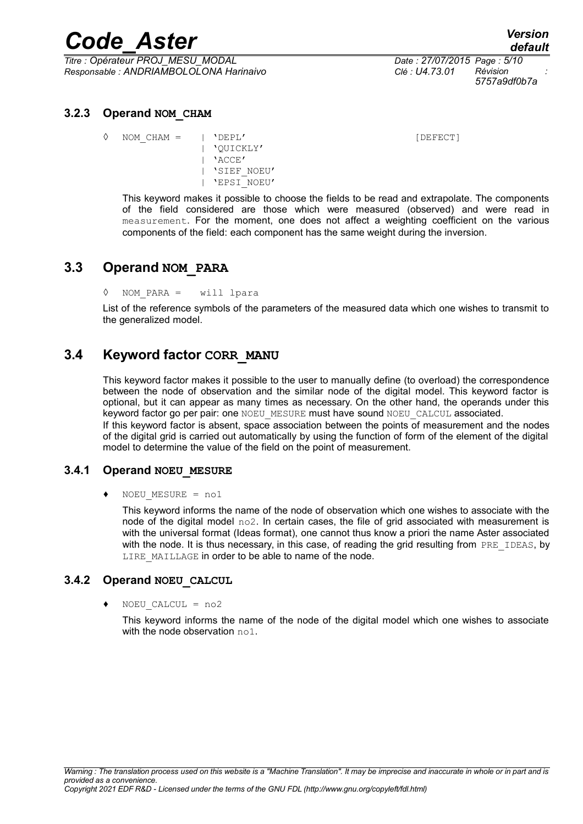*Titre : Opérateur PROJ\_MESU\_MODAL Date : 27/07/2015 Page : 5/10 Responsable : ANDRIAMBOLOLONA Harinaivo Clé : U4.73.01 Révision :*

*5757a9df0b7a*

### **3.2.3 Operand NOM\_CHAM**

◊ NOM\_CHAM = | 'DEPL' [DEFECT] | 'QUICKLY' | 'ACCE' | 'SIEF\_NOEU' | 'EPSI\_NOEU'

This keyword makes it possible to choose the fields to be read and extrapolate. The components of the field considered are those which were measured (observed) and were read in measurement. For the moment, one does not affect a weighting coefficient on the various components of the field: each component has the same weight during the inversion.

## **3.3 Operand NOM\_PARA**

◊ NOM\_PARA = will lpara

List of the reference symbols of the parameters of the measured data which one wishes to transmit to the generalized model.

## **3.4 Keyword factor CORR\_MANU**

This keyword factor makes it possible to the user to manually define (to overload) the correspondence between the node of observation and the similar node of the digital model. This keyword factor is optional, but it can appear as many times as necessary. On the other hand, the operands under this keyword factor go per pair: one NOEU\_MESURE must have sound NOEU\_CALCUL associated. If this keyword factor is absent, space association between the points of measurement and the nodes of the digital grid is carried out automatically by using the function of form of the element of the digital model to determine the value of the field on the point of measurement.

## **3.4.1 Operand NOEU\_MESURE**

**♦** NOEU\_MESURE = no1

This keyword informs the name of the node of observation which one wishes to associate with the node of the digital model  $\text{no2}$ . In certain cases, the file of grid associated with measurement is with the universal format (Ideas format), one cannot thus know a priori the name Aster associated with the node. It is thus necessary, in this case, of reading the grid resulting from PRE\_IDEAS, by LIRE MAILLAGE in order to be able to name of the node.

### **3.4.2 Operand NOEU\_CALCUL**

**♦** NOEU\_CALCUL = no2

This keyword informs the name of the node of the digital model which one wishes to associate with the node observation no1.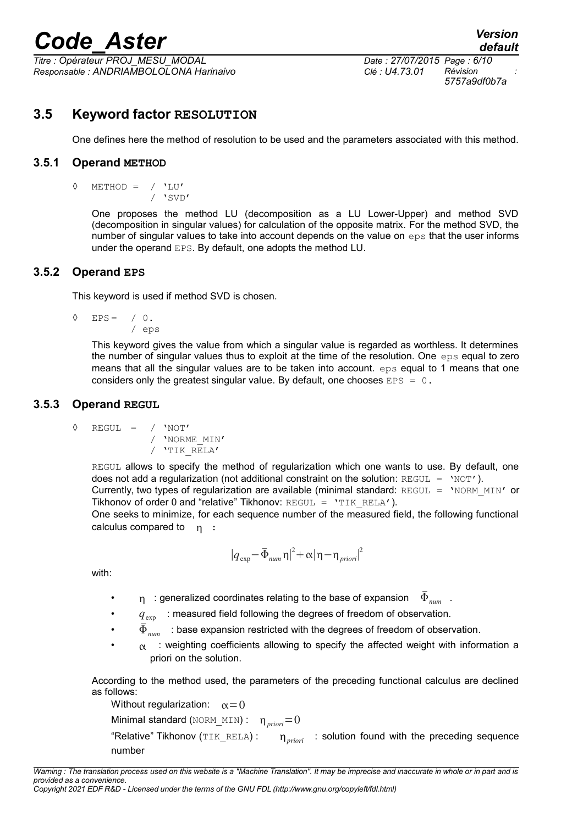*Titre : Opérateur PROJ\_MESU\_MODAL Date : 27/07/2015 Page : 6/10 Responsable : ANDRIAMBOLOLONA Harinaivo Clé : U4.73.01 Révision :*

*5757a9df0b7a*

## **3.5 Keyword factor RESOLUTION**

One defines here the method of resolution to be used and the parameters associated with this method.

### **3.5.1 Operand METHOD**

◊ METHOD = / 'LU'  $/$  'SVD'

> One proposes the method LU (decomposition as a LU Lower-Upper) and method SVD (decomposition in singular values) for calculation of the opposite matrix. For the method SVD, the number of singular values to take into account depends on the value on eps that the user informs under the operand EPS. By default, one adopts the method LU.

### **3.5.2 Operand EPS**

This keyword is used if method SVD is chosen.

$$
\begin{array}{cccc}\n\lozenge & EPS & = & / & 0 \\
& & & & \\
& & & & \\
& & & & \\
& & & & \\
& & & & \\
& & & & \\
\end{array}
$$

This keyword gives the value from which a singular value is regarded as worthless. It determines the number of singular values thus to exploit at the time of the resolution. One eps equal to zero means that all the singular values are to be taken into account. eps equal to 1 means that one considers only the greatest singular value. By default, one chooses  $EPS = 0$ .

### **3.5.3 Operand REGUL**

$$
\begin{array}{cccc}\n\lozenge & \text{REGUL} & = & / & 'NOT' \\
 & / & 'NORME_MIN' \\
 & / & 'TIK_RELA'\n\end{array}
$$

REGUL allows to specify the method of regularization which one wants to use. By default, one does not add a regularization (not additional constraint on the solution:  $REGUL = 'NOT'.$ ). Currently, two types of regularization are available (minimal standard: REGUL =  $'NORMMIN'$  or Tikhonov of order 0 and "relative" Tikhonov:  $REGUL = 'TIK RELA').$ One seeks to minimize, for each sequence number of the measured field, the following functional calculus compared to  $n :$ 

$$
\left|q_{\text{exp}}-\bar{\Phi}_{\text{num}}\eta\right|^2+\alpha\left|\eta-\eta_{\text{prior}}\right|^2
$$

with:

- $\eta$  : generalized coordinates relating to the base of expansion  $\bar{\Phi}_{\dots}$ .
- $q_{\text{evn}}$  : measured field following the degrees of freedom of observation.
- $\bar{\Phi}_{_{num}}$  : base expansion restricted with the degrees of freedom of observation.
- $\alpha$  : weighting coefficients allowing to specify the affected weight with information a priori on the solution.

According to the method used, the parameters of the preceding functional calculus are declined as follows:

Without regularization:  $\alpha = 0$ Minimal standard ( $\text{NORM\_MIN}$ ) :  $\eta_{\text{prior}}=0$ "Relative" Tikhonov (TIK\_RELA) : *priori* : solution found with the preceding sequence number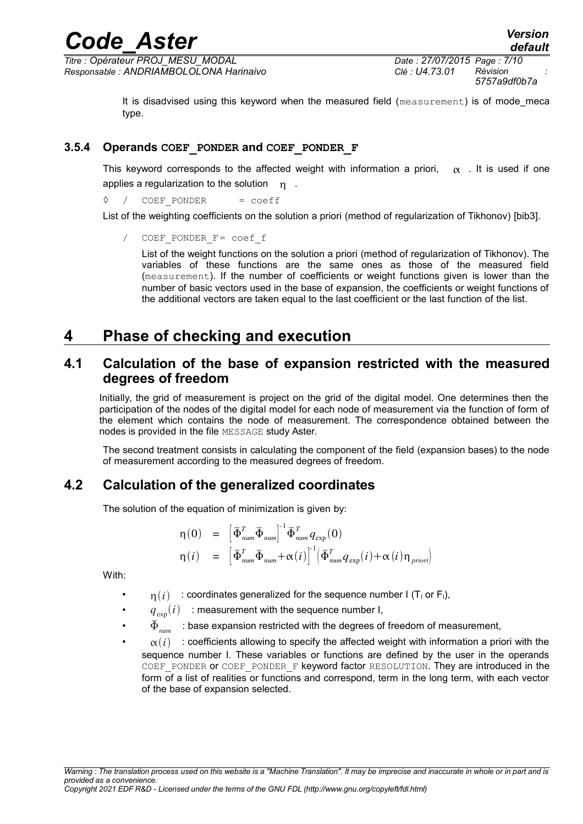*Titre : Opérateur PROJ\_MESU\_MODAL Date : 27/07/2015 Page : 7/10 Responsable : ANDRIAMBOLOLONA Harinaivo Clé : U4.73.01 Révision :*

*5757a9df0b7a*

It is disadvised using this keyword when the measured field (measurement) is of mode\_meca type.

### **3.5.4 Operands COEF\_PONDER and COEF\_PONDER\_F**

This keyword corresponds to the affected weight with information a priori,  $\alpha$ . It is used if one applies a regularization to the solution  $n$ .

◊ / COEF\_PONDER = coeff

List of the weighting coefficients on the solution a priori (method of regularization of Tikhonov) [bib3].

COEF PONDER F= coef f

List of the weight functions on the solution a priori (method of regularization of Tikhonov). The variables of these functions are the same ones as those of the measured field (measurement). If the number of coefficients or weight functions given is lower than the number of basic vectors used in the base of expansion, the coefficients or weight functions of the additional vectors are taken equal to the last coefficient or the last function of the list.

## **4 Phase of checking and execution**

## **4.1 Calculation of the base of expansion restricted with the measured degrees of freedom**

Initially, the grid of measurement is project on the grid of the digital model. One determines then the participation of the nodes of the digital model for each node of measurement via the function of form of the element which contains the node of measurement. The correspondence obtained between the nodes is provided in the file MESSAGE study Aster.

The second treatment consists in calculating the component of the field (expansion bases) to the node of measurement according to the measured degrees of freedom.

## **4.2 Calculation of the generalized coordinates**

The solution of the equation of minimization is given by:

$$
\eta(0) = \left[\overline{\Phi}_{num}^T \overline{\Phi}_{num}\right]^{-1} \overline{\Phi}_{num}^T q_{\exp}(0)
$$
  

$$
\eta(i) = \left[\overline{\Phi}_{num}^T \overline{\Phi}_{num} + \alpha(i)\right]^{-1} \left(\overline{\Phi}_{num}^T q_{\exp}(i) + \alpha(i)\eta_{priori}\right)
$$

With:

- $n(i)$ : coordinates generalized for the sequence number  $I(T_1 \text{ or } F_1)$ ,
- $q_{\text{exn}}(i)$  : measurement with the sequence number I,
- $\bar{\Phi}_{_{num}}$   $\,$  : base expansion restricted with the degrees of freedom of measurement,
- $\alpha(i)$  : coefficients allowing to specify the affected weight with information a priori with the sequence number I. These variables or functions are defined by the user in the operands COEF PONDER OF COEF PONDER F keyword factor RESOLUTION. They are introduced in the form of a list of realities or functions and correspond, term in the long term, with each vector of the base of expansion selected.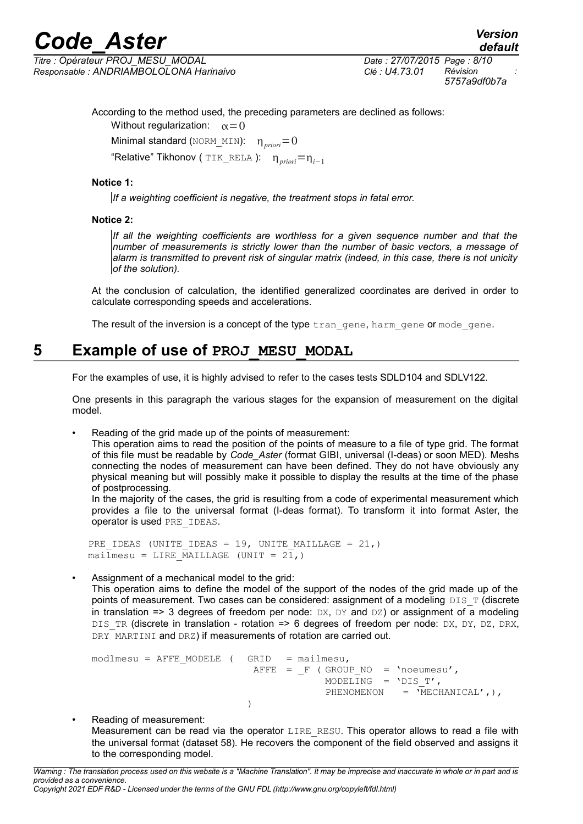*Titre : Opérateur PROJ\_MESU\_MODAL Date : 27/07/2015 Page : 8/10 Responsable : ANDRIAMBOLOLONA Harinaivo Clé : U4.73.01 Révision :*

*5757a9df0b7a*

*default*

According to the method used, the preceding parameters are declined as follows:

Without regularization:  $\alpha = 0$ 

Minimal standard (NORM\_MIN):  $\eta_{prior}=0$ 

"Relative" Tikhonov ( TIK\_RELA ): *priori*=*i*−<sup>1</sup>

#### **Notice 1:**

*If a weighting coefficient is negative, the treatment stops in fatal error.*

#### **Notice 2:**

*If all the weighting coefficients are worthless for a given sequence number and that the number of measurements is strictly lower than the number of basic vectors, a message of alarm is transmitted to prevent risk of singular matrix (indeed, in this case, there is not unicity of the solution).*

At the conclusion of calculation, the identified generalized coordinates are derived in order to calculate corresponding speeds and accelerations.

The result of the inversion is a concept of the type  $tran$  gene, harm gene or mode gene.

## **5 Example of use of PROJ\_MESU\_MODAL**

For the examples of use, it is highly advised to refer to the cases tests SDLD104 and SDLV122.

One presents in this paragraph the various stages for the expansion of measurement on the digital model.

Reading of the grid made up of the points of measurement:

This operation aims to read the position of the points of measure to a file of type grid. The format of this file must be readable by *Code\_Aster* (format GIBI, universal (I-deas) or soon MED). Meshs connecting the nodes of measurement can have been defined. They do not have obviously any physical meaning but will possibly make it possible to display the results at the time of the phase of postprocessing.

In the majority of the cases, the grid is resulting from a code of experimental measurement which provides a file to the universal format (I-deas format). To transform it into format Aster, the operator is used PRE\_IDEAS.

PRE IDEAS (UNITE IDEAS = 19, UNITE MAILLAGE =  $21$ ,) mailmesu = LIRE MAILLAGE (UNIT =  $2\overline{1}$ ,)

#### • Assignment of a mechanical model to the grid:

This operation aims to define the model of the support of the nodes of the grid made up of the points of measurement. Two cases can be considered: assignment of a modeling  $DIST$  (discrete in translation => 3 degrees of freedom per node:  $DX$ ,  $DY$  and  $DZ$ ) or assignment of a modeling DIS TR (discrete in translation - rotation => 6 degrees of freedom per node: DX, DY, DZ, DRX, DRY MARTINI and DRZ) if measurements of rotation are carried out.

 $modImesu = AFFE MODELE$  ( GRID = mailmesu,  $A$ FFE = F ( GROUP NO = 'noeumesu', MODELING =  $'DIST',$ PHENOMENON  $= \overline{M}$ ECHANICAL',), )

• Reading of measurement: Measurement can be read via the operator LIRE\_RESU. This operator allows to read a file with the universal format (dataset 58). He recovers the component of the field observed and assigns it to the corresponding model.

*Warning : The translation process used on this website is a "Machine Translation". It may be imprecise and inaccurate in whole or in part and is provided as a convenience. Copyright 2021 EDF R&D - Licensed under the terms of the GNU FDL (http://www.gnu.org/copyleft/fdl.html)*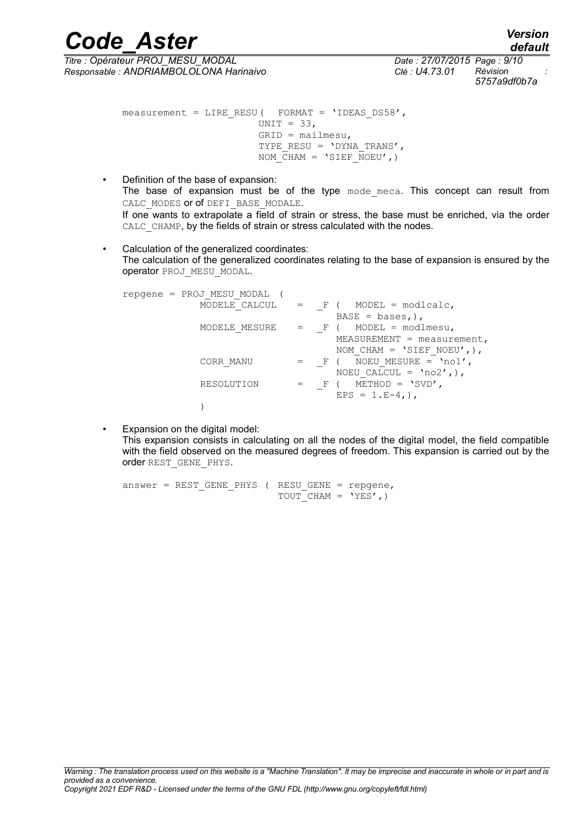*Titre : Opérateur PROJ\_MESU\_MODAL Date : 27/07/2015 Page : 9/10 Responsable : ANDRIAMBOLOLONA Harinaivo Clé : U4.73.01 Révision :*

*5757a9df0b7a*

*default*

measurement = LIRE\_RESU( FORMAT = 'IDEAS\_DS58', UNIT =  $33$ , GRID = mailmesu, TYPE RESU =  $'$ DYNA TRANS', NOM  $CHAM = 'SIEF NOEU',)$ 

- Definition of the base of expansion: The base of expansion must be of the type mode meca. This concept can result from CALC\_MODES or of DEFI\_BASE\_MODALE. If one wants to extrapolate a field of strain or stress, the base must be enriched, via the order CALC\_CHAMP, by the fields of strain or stress calculated with the nodes.
- Calculation of the generalized coordinates: The calculation of the generalized coordinates relating to the base of expansion is ensured by the operator PROJ\_MESU\_MODAL.

| repgene = PROJ MESU MODAL |         |                              |
|---------------------------|---------|------------------------------|
| MODELE CALCUL             | $=$ F ( | MODEL = $modscale$ ,         |
|                           |         | $BASE = bases$ ,),           |
| MODELE MESURE             | F (     | MODEL = $modImesu$ ,         |
|                           |         | $MEASUREMENT = measurement,$ |
|                           |         | NOM CHAM = 'SIEF NOEU', ),   |
| CORR MANU                 | $=$ F ( | NOEU MESURE = $'no1'$ ,      |
|                           |         | NOEU CALCUL = $'no2',$ ),    |
| RESOLUTION                | $F$ (   | METHOD = $'SVD'$ ,           |
|                           |         | $EPS = 1.E-4,$ ,             |
|                           |         |                              |

Expansion on the digital model: This expansion consists in calculating on all the nodes of the digital model, the field compatible with the field observed on the measured degrees of freedom. This expansion is carried out by the order REST\_GENE\_PHYS.

```
answer = REST GENE PHYS ( RESU GENE = repgene,
                          TOUT CHAM = 'YES',)
```